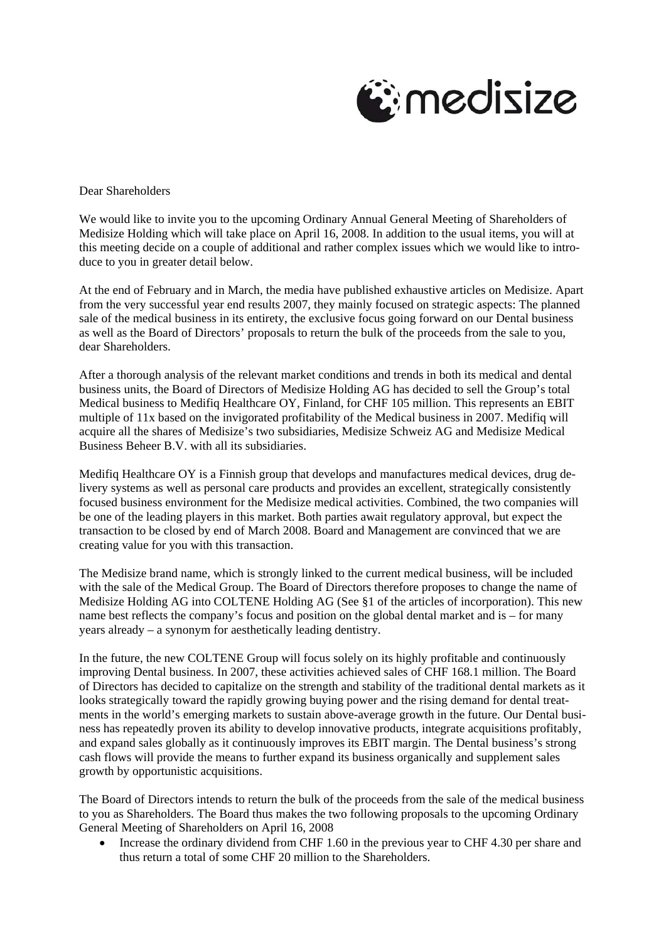

Dear Shareholders

We would like to invite you to the upcoming Ordinary Annual General Meeting of Shareholders of Medisize Holding which will take place on April 16, 2008. In addition to the usual items, you will at this meeting decide on a couple of additional and rather complex issues which we would like to introduce to you in greater detail below.

At the end of February and in March, the media have published exhaustive articles on Medisize. Apart from the very successful year end results 2007, they mainly focused on strategic aspects: The planned sale of the medical business in its entirety, the exclusive focus going forward on our Dental business as well as the Board of Directors' proposals to return the bulk of the proceeds from the sale to you, dear Shareholders.

After a thorough analysis of the relevant market conditions and trends in both its medical and dental business units, the Board of Directors of Medisize Holding AG has decided to sell the Group's total Medical business to Medifiq Healthcare OY, Finland, for CHF 105 million. This represents an EBIT multiple of 11x based on the invigorated profitability of the Medical business in 2007. Medifiq will acquire all the shares of Medisize's two subsidiaries, Medisize Schweiz AG and Medisize Medical Business Beheer B.V. with all its subsidiaries.

Medifiq Healthcare OY is a Finnish group that develops and manufactures medical devices, drug delivery systems as well as personal care products and provides an excellent, strategically consistently focused business environment for the Medisize medical activities. Combined, the two companies will be one of the leading players in this market. Both parties await regulatory approval, but expect the transaction to be closed by end of March 2008. Board and Management are convinced that we are creating value for you with this transaction.

The Medisize brand name, which is strongly linked to the current medical business, will be included with the sale of the Medical Group. The Board of Directors therefore proposes to change the name of Medisize Holding AG into COLTENE Holding AG (See §1 of the articles of incorporation). This new name best reflects the company's focus and position on the global dental market and is – for many years already – a synonym for aesthetically leading dentistry.

In the future, the new COLTENE Group will focus solely on its highly profitable and continuously improving Dental business. In 2007, these activities achieved sales of CHF 168.1 million. The Board of Directors has decided to capitalize on the strength and stability of the traditional dental markets as it looks strategically toward the rapidly growing buying power and the rising demand for dental treatments in the world's emerging markets to sustain above-average growth in the future. Our Dental business has repeatedly proven its ability to develop innovative products, integrate acquisitions profitably, and expand sales globally as it continuously improves its EBIT margin. The Dental business's strong cash flows will provide the means to further expand its business organically and supplement sales growth by opportunistic acquisitions.

The Board of Directors intends to return the bulk of the proceeds from the sale of the medical business to you as Shareholders. The Board thus makes the two following proposals to the upcoming Ordinary General Meeting of Shareholders on April 16, 2008

• Increase the ordinary dividend from CHF 1.60 in the previous year to CHF 4.30 per share and thus return a total of some CHF 20 million to the Shareholders.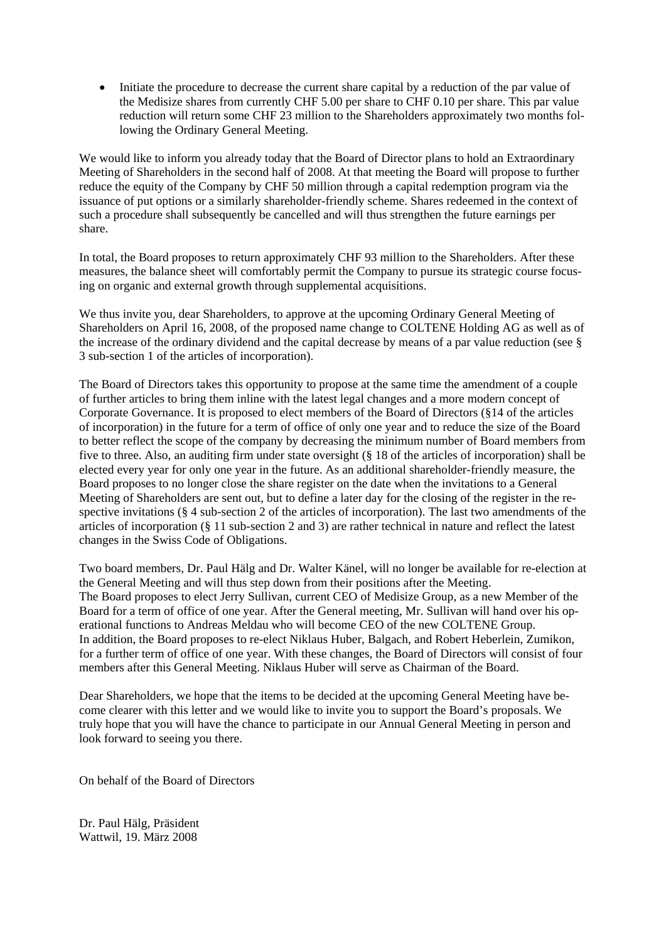• Initiate the procedure to decrease the current share capital by a reduction of the par value of the Medisize shares from currently CHF 5.00 per share to CHF 0.10 per share. This par value reduction will return some CHF 23 million to the Shareholders approximately two months following the Ordinary General Meeting.

We would like to inform you already today that the Board of Director plans to hold an Extraordinary Meeting of Shareholders in the second half of 2008. At that meeting the Board will propose to further reduce the equity of the Company by CHF 50 million through a capital redemption program via the issuance of put options or a similarly shareholder-friendly scheme. Shares redeemed in the context of such a procedure shall subsequently be cancelled and will thus strengthen the future earnings per share.

In total, the Board proposes to return approximately CHF 93 million to the Shareholders. After these measures, the balance sheet will comfortably permit the Company to pursue its strategic course focusing on organic and external growth through supplemental acquisitions.

We thus invite you, dear Shareholders, to approve at the upcoming Ordinary General Meeting of Shareholders on April 16, 2008, of the proposed name change to COLTENE Holding AG as well as of the increase of the ordinary dividend and the capital decrease by means of a par value reduction (see § 3 sub-section 1 of the articles of incorporation).

The Board of Directors takes this opportunity to propose at the same time the amendment of a couple of further articles to bring them inline with the latest legal changes and a more modern concept of Corporate Governance. It is proposed to elect members of the Board of Directors (§14 of the articles of incorporation) in the future for a term of office of only one year and to reduce the size of the Board to better reflect the scope of the company by decreasing the minimum number of Board members from five to three. Also, an auditing firm under state oversight (§ 18 of the articles of incorporation) shall be elected every year for only one year in the future. As an additional shareholder-friendly measure, the Board proposes to no longer close the share register on the date when the invitations to a General Meeting of Shareholders are sent out, but to define a later day for the closing of the register in the respective invitations (§ 4 sub-section 2 of the articles of incorporation). The last two amendments of the articles of incorporation (§ 11 sub-section 2 and 3) are rather technical in nature and reflect the latest changes in the Swiss Code of Obligations.

Two board members, Dr. Paul Hälg and Dr. Walter Känel, will no longer be available for re-election at the General Meeting and will thus step down from their positions after the Meeting. The Board proposes to elect Jerry Sullivan, current CEO of Medisize Group, as a new Member of the Board for a term of office of one year. After the General meeting, Mr. Sullivan will hand over his operational functions to Andreas Meldau who will become CEO of the new COLTENE Group. In addition, the Board proposes to re-elect Niklaus Huber, Balgach, and Robert Heberlein, Zumikon, for a further term of office of one year. With these changes, the Board of Directors will consist of four members after this General Meeting. Niklaus Huber will serve as Chairman of the Board.

Dear Shareholders, we hope that the items to be decided at the upcoming General Meeting have become clearer with this letter and we would like to invite you to support the Board's proposals. We truly hope that you will have the chance to participate in our Annual General Meeting in person and look forward to seeing you there.

On behalf of the Board of Directors

Dr. Paul Hälg, Präsident Wattwil, 19. März 2008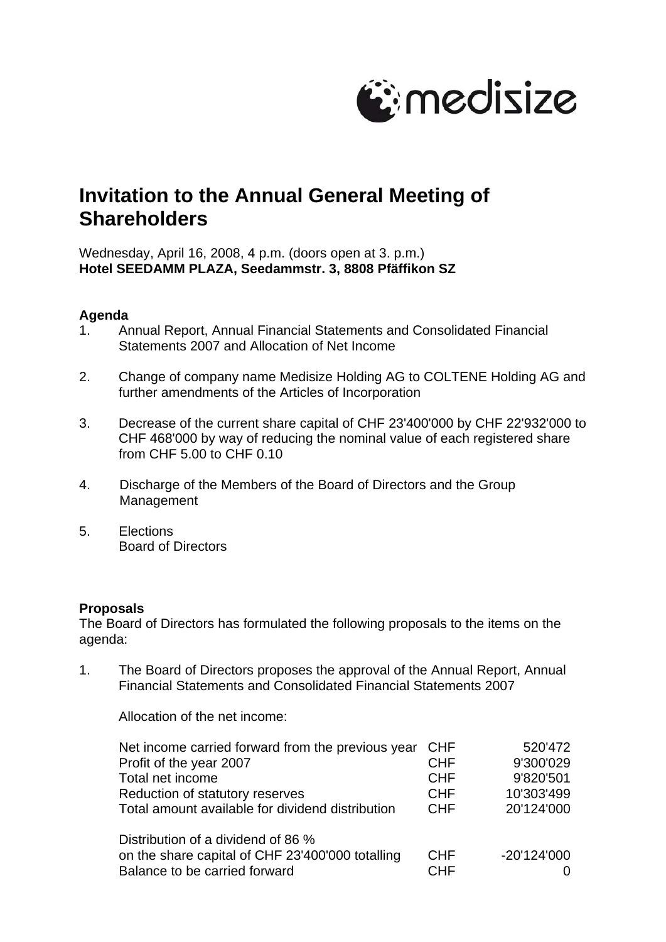

# **Invitation to the Annual General Meeting of Shareholders**

Wednesday, April 16, 2008, 4 p.m. (doors open at 3. p.m.) **Hotel SEEDAMM PLAZA, Seedammstr. 3, 8808 Pfäffikon SZ** 

#### **Agenda**

- 1. Annual Report, Annual Financial Statements and Consolidated Financial Statements 2007 and Allocation of Net Income
- 2. Change of company name Medisize Holding AG to COLTENE Holding AG and further amendments of the Articles of Incorporation
- 3. Decrease of the current share capital of CHF 23'400'000 by CHF 22'932'000 to CHF 468'000 by way of reducing the nominal value of each registered share from CHF 5.00 to CHF 0.10
- 4. Discharge of the Members of the Board of Directors and the Group Management
- 5. Elections Board of Directors

### **Proposals**

The Board of Directors has formulated the following proposals to the items on the agenda:

1. The Board of Directors proposes the approval of the Annual Report, Annual Financial Statements and Consolidated Financial Statements 2007

Allocation of the net income:

| Net income carried forward from the previous year | <b>CHF</b> | 520'472       |
|---------------------------------------------------|------------|---------------|
| Profit of the year 2007                           | <b>CHF</b> | 9'300'029     |
| Total net income                                  | <b>CHF</b> | 9'820'501     |
| Reduction of statutory reserves                   | <b>CHF</b> | 10'303'499    |
| Total amount available for dividend distribution  | <b>CHF</b> | 20'124'000    |
| Distribution of a dividend of 86 %                |            |               |
| on the share capital of CHF 23'400'000 totalling  | <b>CHF</b> | $-20'124'000$ |
| Balance to be carried forward                     | <b>CHF</b> |               |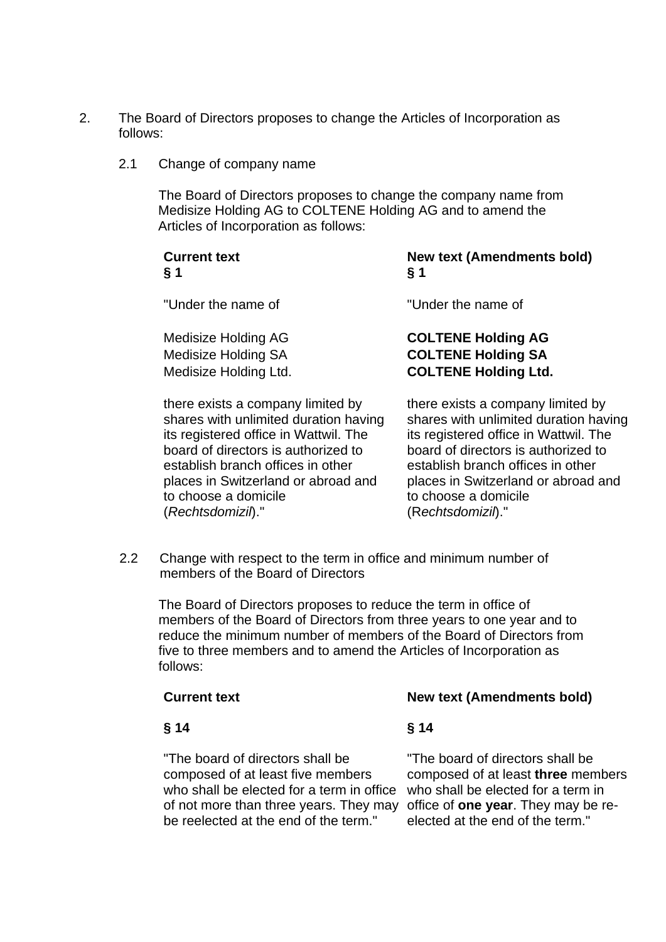- 2. The Board of Directors proposes to change the Articles of Incorporation as follows:
	- 2.1 Change of company name

The Board of Directors proposes to change the company name from Medisize Holding AG to COLTENE Holding AG and to amend the Articles of Incorporation as follows:

| <b>Current text</b>        | <b>New text (Amendments bold)</b> |
|----------------------------|-----------------------------------|
| § 1                        | $\S 1$                            |
| "Under the name of         | "Under the name of                |
| Medisize Holding AG        | <b>COLTENE Holding AG</b>         |
| <b>Medisize Holding SA</b> | <b>COLTENE Holding SA</b>         |
| Medisize Holding Ltd.      | <b>COLTENE Holding Ltd.</b>       |
|                            |                                   |

there exists a company limited by shares with unlimited duration having its registered office in Wattwil. The board of directors is authorized to establish branch offices in other places in Switzerland or abroad and to choose a domicile (*Rechtsdomizil*)."

there exists a company limited by shares with unlimited duration having its registered office in Wattwil. The board of directors is authorized to establish branch offices in other places in Switzerland or abroad and to choose a domicile (R*echtsdomizil*)."

2.2 Change with respect to the term in office and minimum number of members of the Board of Directors

The Board of Directors proposes to reduce the term in office of members of the Board of Directors from three years to one year and to reduce the minimum number of members of the Board of Directors from five to three members and to amend the Articles of Incorporation as follows:

### **§ 14 § 14**

## **Current text New text (Amendments bold)**

"The board of directors shall be composed of at least five members who shall be elected for a term in office of not more than three years. They may be reelected at the end of the term."

"The board of directors shall be composed of at least **three** members who shall be elected for a term in office of **one year**. They may be reelected at the end of the term."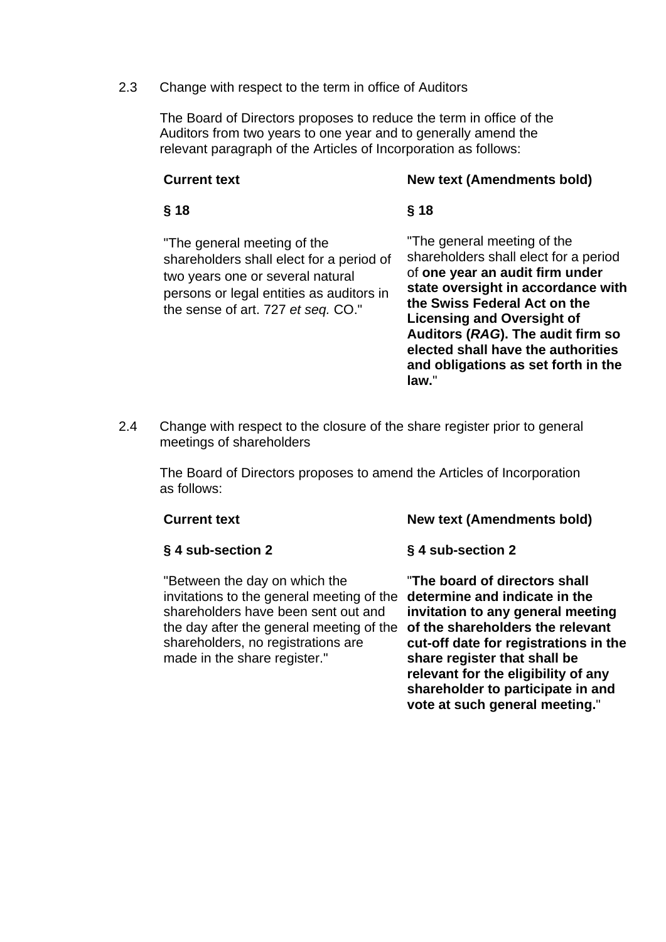#### 2.3 Change with respect to the term in office of Auditors

 The Board of Directors proposes to reduce the term in office of the Auditors from two years to one year and to generally amend the relevant paragraph of the Articles of Incorporation as follows:

### **Current text** New text (Amendments bold)

#### **§ 18 § 18**

"The general meeting of the shareholders shall elect for a period of two years one or several natural persons or legal entities as auditors in the sense of art. 727 *et seq.* CO."

"The general meeting of the shareholders shall elect for a period of **one year an audit firm under state oversight in accordance with the Swiss Federal Act on the Licensing and Oversight of Auditors (***RAG***). The audit firm so elected shall have the authorities and obligations as set forth in the law.**"

2.4 Change with respect to the closure of the share register prior to general meetings of shareholders

 The Board of Directors proposes to amend the Articles of Incorporation as follows:

| <b>Current text</b>                                                                                                                             | <b>New text (Amendments bold)</b>                                  |
|-------------------------------------------------------------------------------------------------------------------------------------------------|--------------------------------------------------------------------|
| § 4 sub-section 2                                                                                                                               | § 4 sub-section 2                                                  |
| "Between the day on which the<br>invitations to the general meeting of the determine and indicate in the<br>charoboldors have been sont out and | "The board of directors shall<br>invitation to any general meeting |

shareholders have been sent out and the day after the general meeting of the **of the shareholders the relevant**  shareholders, no registrations are made in the share register."

**invitation to any general meeting cut-off date for registrations in the share register that shall be relevant for the eligibility of any shareholder to participate in and vote at such general meeting.**"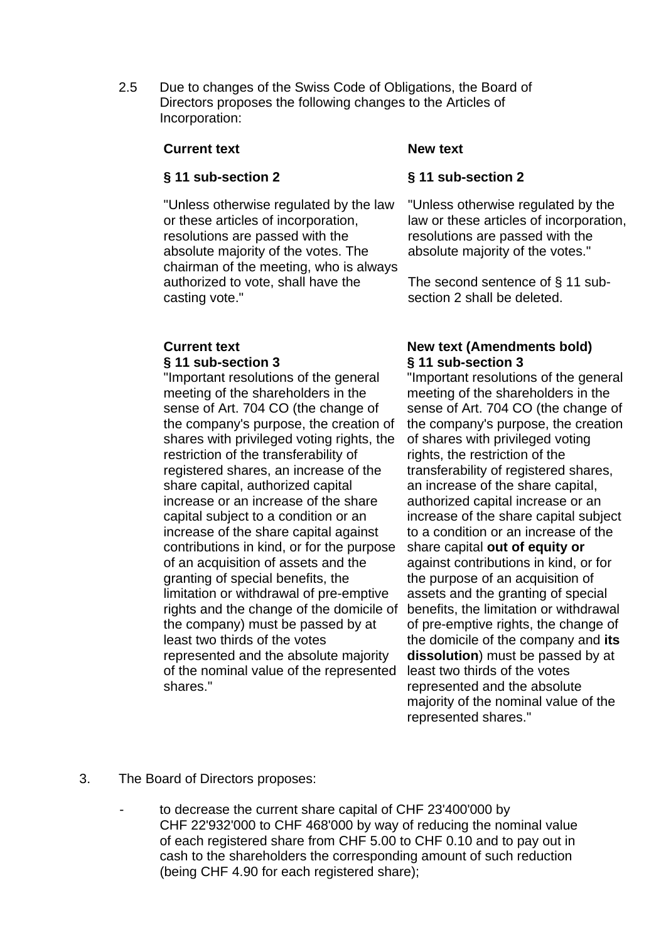2.5 Due to changes of the Swiss Code of Obligations, the Board of Directors proposes the following changes to the Articles of Incorporation:

#### **Current text** New text

### **§ 11 sub-section 2 § 11 sub-section 2**

"Unless otherwise regulated by the law or these articles of incorporation, resolutions are passed with the absolute majority of the votes. The chairman of the meeting, who is always authorized to vote, shall have the casting vote."

"Important resolutions of the general meeting of the shareholders in the sense of Art. 704 CO (the change of the company's purpose, the creation of shares with privileged voting rights, the restriction of the transferability of registered shares, an increase of the share capital, authorized capital increase or an increase of the share capital subject to a condition or an increase of the share capital against contributions in kind, or for the purpose of an acquisition of assets and the granting of special benefits, the limitation or withdrawal of pre-emptive rights and the change of the domicile of the company) must be passed by at least two thirds of the votes represented and the absolute majority of the nominal value of the represented shares."

"Unless otherwise regulated by the law or these articles of incorporation, resolutions are passed with the absolute majority of the votes."

The second sentence of § 11 subsection 2 shall be deleted.

#### **Current text** New text (Amendments bold) **§ 11 sub-section 3 § 11 sub-section 3**

"Important resolutions of the general meeting of the shareholders in the sense of Art. 704 CO (the change of the company's purpose, the creation of shares with privileged voting rights, the restriction of the transferability of registered shares, an increase of the share capital, authorized capital increase or an increase of the share capital subject to a condition or an increase of the share capital **out of equity or** against contributions in kind, or for the purpose of an acquisition of assets and the granting of special benefits, the limitation or withdrawal of pre-emptive rights, the change of the domicile of the company and **its dissolution**) must be passed by at least two thirds of the votes represented and the absolute majority of the nominal value of the represented shares."

- 3. The Board of Directors proposes:
	- to decrease the current share capital of CHF 23'400'000 by CHF 22'932'000 to CHF 468'000 by way of reducing the nominal value of each registered share from CHF 5.00 to CHF 0.10 and to pay out in cash to the shareholders the corresponding amount of such reduction (being CHF 4.90 for each registered share);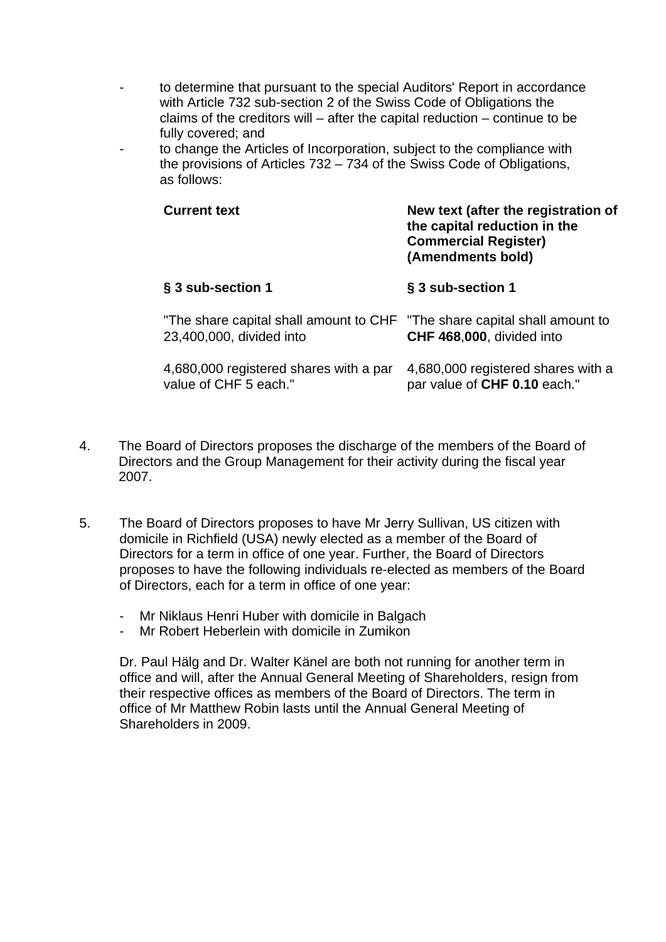- to determine that pursuant to the special Auditors' Report in accordance with Article 732 sub-section 2 of the Swiss Code of Obligations the claims of the creditors will – after the capital reduction – continue to be fully covered; and
- to change the Articles of Incorporation, subject to the compliance with the provisions of Articles 732 – 734 of the Swiss Code of Obligations, as follows:

| <b>Current text</b>                                                                                   | New text (after the registration of<br>the capital reduction in the<br><b>Commercial Register)</b><br>(Amendments bold) |  |
|-------------------------------------------------------------------------------------------------------|-------------------------------------------------------------------------------------------------------------------------|--|
| § 3 sub-section 1                                                                                     | § 3 sub-section 1                                                                                                       |  |
| "The share capital shall amount to CHF "The share capital shall amount to<br>23,400,000, divided into | CHF 468,000, divided into                                                                                               |  |
| 4,680,000 registered shares with a par<br>value of CHF 5 each."                                       | 4,680,000 registered shares with a<br>par value of CHF 0.10 each."                                                      |  |

- 4. The Board of Directors proposes the discharge of the members of the Board of Directors and the Group Management for their activity during the fiscal year 2007.
- 5. The Board of Directors proposes to have Mr Jerry Sullivan, US citizen with domicile in Richfield (USA) newly elected as a member of the Board of Directors for a term in office of one year. Further, the Board of Directors proposes to have the following individuals re-elected as members of the Board of Directors, each for a term in office of one year:
	- Mr Niklaus Henri Huber with domicile in Balgach
	- Mr Robert Heberlein with domicile in Zumikon

Dr. Paul Hälg and Dr. Walter Känel are both not running for another term in office and will, after the Annual General Meeting of Shareholders, resign from their respective offices as members of the Board of Directors. The term in office of Mr Matthew Robin lasts until the Annual General Meeting of Shareholders in 2009.